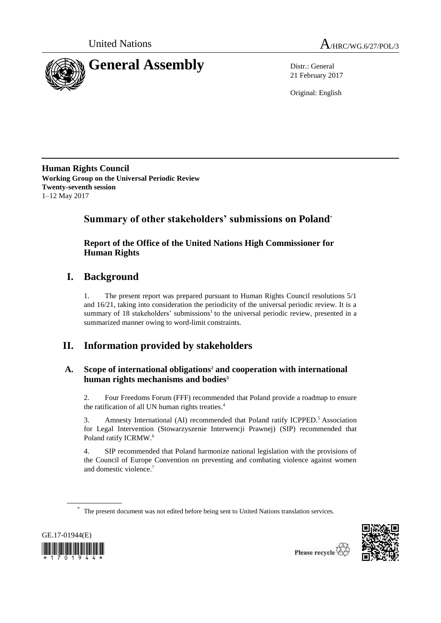



21 February 2017

Original: English

**Human Rights Council Working Group on the Universal Periodic Review Twenty-seventh session** 1–12 May 2017

# **Summary of other stakeholders' submissions on Poland**\*

# **Report of the Office of the United Nations High Commissioner for Human Rights**

# **I. Background**

1. The present report was prepared pursuant to Human Rights Council resolutions 5/1 and 16/21, taking into consideration the periodicity of the universal periodic review. It is a summary of 18 stakeholders' submissions<sup>1</sup> to the universal periodic review, presented in a summarized manner owing to word-limit constraints.

# **II. Information provided by stakeholders**

# **A. Scope of international obligations<sup>2</sup> and cooperation with international human rights mechanisms and bodies<sup>3</sup>**

2. Four Freedoms Forum (FFF) recommended that Poland provide a roadmap to ensure the ratification of all UN human rights treaties. 4

3. Amnesty International (AI) recommended that Poland ratify ICPPED.<sup>5</sup> Association for Legal Intervention (Stowarzyszenie Interwencji Prawnej) (SIP) recommended that Poland ratify ICRMW.<sup>6</sup>

4. SIP recommended that Poland harmonize national legislation with the provisions of the Council of Europe Convention on preventing and combating violence against women and domestic violence.<sup>7</sup>

The present document was not edited before being sent to United Nations translation services.



\*

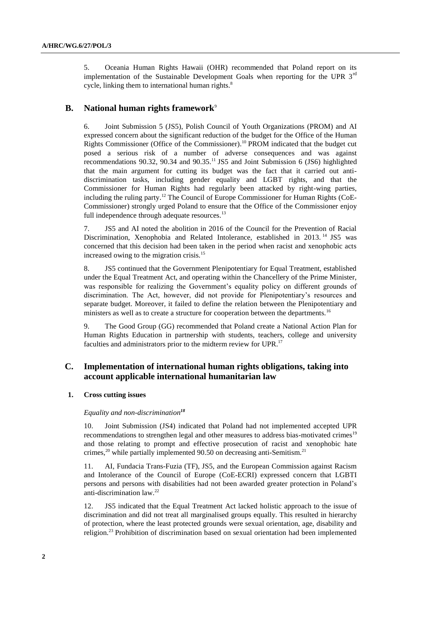5. Oceania Human Rights Hawaii (OHR) recommended that Poland report on its implementation of the Sustainable Development Goals when reporting for the UPR  $3<sup>rd</sup>$ cycle, linking them to international human rights.<sup>8</sup>

# **B. National human rights framework**<sup>9</sup>

6. Joint Submission 5 (JS5), Polish Council of Youth Organizations (PROM) and AI expressed concern about the significant reduction of the budget for the Office of the Human Rights Commissioner (Office of the Commissioner). <sup>10</sup> PROM indicated that the budget cut posed a serious risk of a number of adverse consequences and was against recommendations 90.32, 90.34 and 90.35.<sup>11</sup> JS5 and Joint Submission 6 (JS6) highlighted that the main argument for cutting its budget was the fact that it carried out antidiscrimination tasks, including gender equality and LGBT rights, and that the Commissioner for Human Rights had regularly been attacked by right-wing parties, including the ruling party.<sup>12</sup> The Council of Europe Commissioner for Human Rights (CoE-Commissioner) strongly urged Poland to ensure that the Office of the Commissioner enjoy full independence through adequate resources.<sup>13</sup>

7. JS5 and AI noted the abolition in 2016 of the Council for the Prevention of Racial Discrimination, Xenophobia and Related Intolerance, established in 2013. <sup>14</sup> JS5 was concerned that this decision had been taken in the period when racist and xenophobic acts increased owing to the migration crisis.<sup>15</sup>

8. JS5 continued that the Government Plenipotentiary for Equal Treatment, established under the Equal Treatment Act, and operating within the Chancellery of the Prime Minister, was responsible for realizing the Government's equality policy on different grounds of discrimination. The Act, however, did not provide for Plenipotentiary's resources and separate budget. Moreover, it failed to define the relation between the Plenipotentiary and ministers as well as to create a structure for cooperation between the departments.<sup>16</sup>

9. The Good Group (GG) recommended that Poland create a National Action Plan for Human Rights Education in partnership with students, teachers, college and university faculties and administrators prior to the midterm review for UPR.<sup>17</sup>

# **C. Implementation of international human rights obligations, taking into account applicable international humanitarian law**

## **1. Cross cutting issues**

#### *Equality and non-discrimination<sup>18</sup>*

10. Joint Submission (JS4) indicated that Poland had not implemented accepted UPR recommendations to strengthen legal and other measures to address bias-motivated crimes<sup>19</sup> and those relating to prompt and effective prosecution of racist and xenophobic hate crimes,<sup>20</sup> while partially implemented 90.50 on decreasing anti-Semitism.<sup>21</sup>

11. AI, Fundacia Trans-Fuzia (TF), JS5, and the European Commission against Racism and Intolerance of the Council of Europe (CoE-ECRI) expressed concern that LGBTI persons and persons with disabilities had not been awarded greater protection in Poland's anti-discrimination law. 22

12. JS5 indicated that the Equal Treatment Act lacked holistic approach to the issue of discrimination and did not treat all marginalised groups equally. This resulted in hierarchy of protection, where the least protected grounds were sexual orientation, age, disability and religion.<sup>23</sup> Prohibition of discrimination based on sexual orientation had been implemented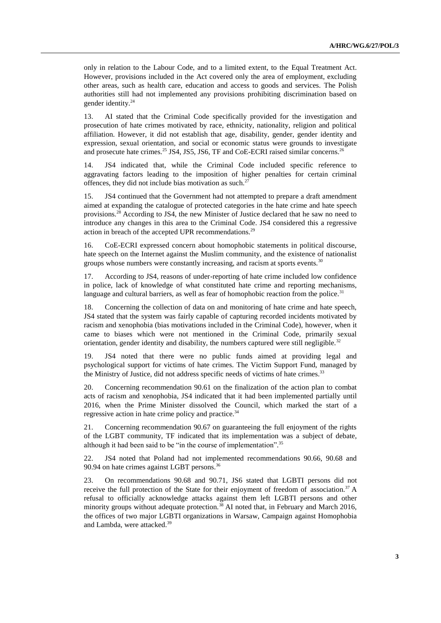only in relation to the Labour Code, and to a limited extent, to the Equal Treatment Act. However, provisions included in the Act covered only the area of employment, excluding other areas, such as health care, education and access to goods and services. The Polish authorities still had not implemented any provisions prohibiting discrimination based on gender identity.<sup>24</sup>

13. AI stated that the Criminal Code specifically provided for the investigation and prosecution of hate crimes motivated by race, ethnicity, nationality, religion and political affiliation. However, it did not establish that age, disability, gender, gender identity and expression, sexual orientation, and social or economic status were grounds to investigate and prosecute hate crimes.<sup>25</sup> JS4, JS5, JS6, TF and CoE-ECRI raised similar concerns.<sup>26</sup>

14. JS4 indicated that, while the Criminal Code included specific reference to aggravating factors leading to the imposition of higher penalties for certain criminal offences, they did not include bias motivation as such. $27$ 

15. JS4 continued that the Government had not attempted to prepare a draft amendment aimed at expanding the catalogue of protected categories in the hate crime and hate speech provisions.<sup>28</sup> According to JS4, the new Minister of Justice declared that he saw no need to introduce any changes in this area to the Criminal Code. JS4 considered this a regressive action in breach of the accepted UPR recommendations.<sup>29</sup>

16. CoE-ECRI expressed concern about homophobic statements in political discourse, hate speech on the Internet against the Muslim community, and the existence of nationalist groups whose numbers were constantly increasing, and racism at sports events.<sup>30</sup>

According to JS4, reasons of under-reporting of hate crime included low confidence in police, lack of knowledge of what constituted hate crime and reporting mechanisms, language and cultural barriers, as well as fear of homophobic reaction from the police. $31$ 

18. Concerning the collection of data on and monitoring of hate crime and hate speech, JS4 stated that the system was fairly capable of capturing recorded incidents motivated by racism and xenophobia (bias motivations included in the Criminal Code), however, when it came to biases which were not mentioned in the Criminal Code, primarily sexual orientation, gender identity and disability, the numbers captured were still negligible.<sup>32</sup>

19. JS4 noted that there were no public funds aimed at providing legal and psychological support for victims of hate crimes. The Victim Support Fund, managed by the Ministry of Justice, did not address specific needs of victims of hate crimes.<sup>33</sup>

20. Concerning recommendation 90.61 on the finalization of the action plan to combat acts of racism and xenophobia, JS4 indicated that it had been implemented partially until 2016, when the Prime Minister dissolved the Council, which marked the start of a regressive action in hate crime policy and practice.<sup>34</sup>

21. Concerning recommendation 90.67 on guaranteeing the full enjoyment of the rights of the LGBT community, TF indicated that its implementation was a subject of debate, although it had been said to be "in the course of implementation". 35

22. JS4 noted that Poland had not implemented recommendations 90.66, 90.68 and 90.94 on hate crimes against LGBT persons.<sup>36</sup>

23. On recommendations 90.68 and 90.71, JS6 stated that LGBTI persons did not receive the full protection of the State for their enjoyment of freedom of association.<sup>37</sup> A refusal to officially acknowledge attacks against them left LGBTI persons and other minority groups without adequate protection.<sup>38</sup> AI noted that, in February and March 2016, the offices of two major LGBTI organizations in Warsaw, Campaign against Homophobia and Lambda, were attacked.39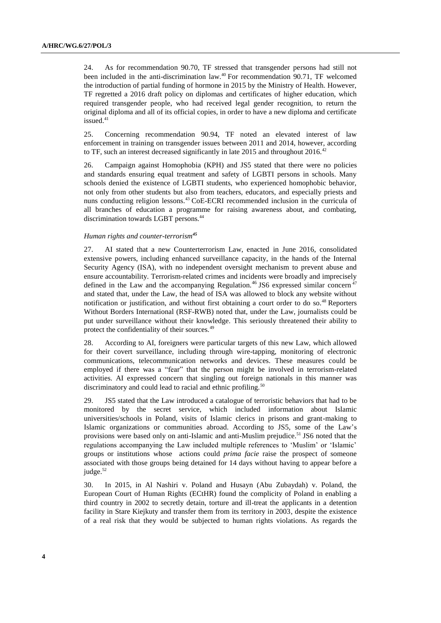24. As for recommendation 90.70, TF stressed that transgender persons had still not been included in the anti-discrimination law.<sup>40</sup> For recommendation 90.71, TF welcomed the introduction of partial funding of hormone in 2015 by the Ministry of Health. However, TF regretted a 2016 draft policy on diplomas and certificates of higher education, which required transgender people, who had received legal gender recognition, to return the original diploma and all of its official copies, in order to have a new diploma and certificate  $i$ ssued. $41$ 

25. Concerning recommendation 90.94, TF noted an elevated interest of law enforcement in training on transgender issues between 2011 and 2014, however, according to TF, such an interest decreased significantly in late 2015 and throughout 2016.<sup>42</sup>

26. Campaign against Homophobia (KPH) and JS5 stated that there were no policies and standards ensuring equal treatment and safety of LGBTI persons in schools. Many schools denied the existence of LGBTI students, who experienced homophobic behavior, not only from other students but also from teachers, educators, and especially priests and nuns conducting religion lessons.<sup>43</sup> CoE-ECRI recommended inclusion in the curricula of all branches of education a programme for raising awareness about, and combating, discrimination towards LGBT persons.<sup>44</sup>

#### *Human rights and counter-terrorism<sup>45</sup>*

27. AI stated that a new Counterterrorism Law, enacted in June 2016, consolidated extensive powers, including enhanced surveillance capacity, in the hands of the Internal Security Agency (ISA), with no independent oversight mechanism to prevent abuse and ensure accountability. Terrorism-related crimes and incidents were broadly and imprecisely defined in the Law and the accompanying Regulation.<sup>46</sup> JS6 expressed similar concern<sup>47</sup> and stated that, under the Law, the head of ISA was allowed to block any website without notification or justification, and without first obtaining a court order to do so.<sup>48</sup> Reporters Without Borders International (RSF-RWB) noted that, under the Law, journalists could be put under surveillance without their knowledge. This seriously threatened their ability to protect the confidentiality of their sources.<sup>49</sup>

28. According to AI, foreigners were particular targets of this new Law, which allowed for their covert surveillance, including through wire-tapping, monitoring of electronic communications, telecommunication networks and devices. These measures could be employed if there was a "fear" that the person might be involved in terrorism-related activities. AI expressed concern that singling out foreign nationals in this manner was discriminatory and could lead to racial and ethnic profiling.<sup>50</sup>

29. JS5 stated that the Law introduced a catalogue of terroristic behaviors that had to be monitored by the secret service, which included information about Islamic universities/schools in Poland, visits of Islamic clerics in prisons and grant-making to Islamic organizations or communities abroad. According to JS5, some of the Law's provisions were based only on anti-Islamic and anti-Muslim prejudice.<sup>51</sup> JS6 noted that the regulations accompanying the Law included multiple references to 'Muslim' or 'Islamic' groups or institutions whose actions could *prima facie* raise the prospect of someone associated with those groups being detained for 14 days without having to appear before a judge.<sup>52</sup>

30. In 2015, in Al Nashiri v. Poland and Husayn (Abu Zubaydah) v. Poland, the European Court of Human Rights (ECtHR) found the complicity of Poland in enabling a third country in 2002 to secretly detain, torture and ill-treat the applicants in a detention facility in Stare Kiejkuty and transfer them from its territory in 2003, despite the existence of a real risk that they would be subjected to human rights violations. As regards the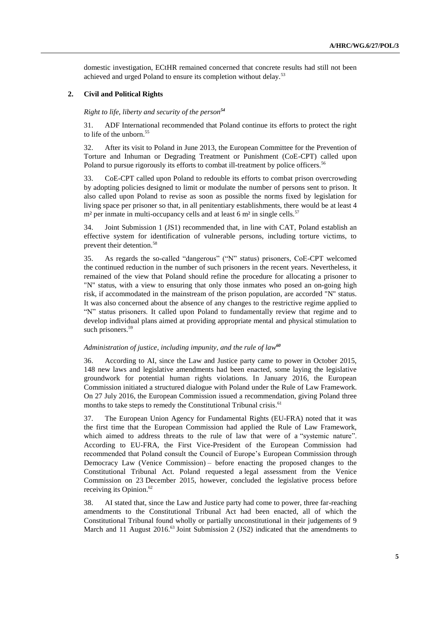domestic investigation, ECtHR remained concerned that concrete results had still not been achieved and urged Poland to ensure its completion without delay.<sup>53</sup>

## **2. Civil and Political Rights**

*Right to life, liberty and security of the person<sup>54</sup>*

31. ADF International recommended that Poland continue its efforts to protect the right to life of the unborn.<sup>55</sup>

32. After its visit to Poland in June 2013, the European Committee for the Prevention of Torture and Inhuman or Degrading Treatment or Punishment (CoE-CPT) called upon Poland to pursue rigorously its efforts to combat ill-treatment by police officers.<sup>56</sup>

33. CoE-CPT called upon Poland to redouble its efforts to combat prison overcrowding by adopting policies designed to limit or modulate the number of persons sent to prison. It also called upon Poland to revise as soon as possible the norms fixed by legislation for living space per prisoner so that, in all penitentiary establishments, there would be at least 4  $m<sup>2</sup>$  per inmate in multi-occupancy cells and at least 6  $m<sup>2</sup>$  in single cells.<sup>57</sup>

34. Joint Submission 1 (JS1) recommended that, in line with CAT, Poland establish an effective system for identification of vulnerable persons, including torture victims, to prevent their detention. 58

35. As regards the so-called "dangerous" ("N" status) prisoners, CoE-CPT welcomed the continued reduction in the number of such prisoners in the recent years. Nevertheless, it remained of the view that Poland should refine the procedure for allocating a prisoner to "N" status, with a view to ensuring that only those inmates who posed an on-going high risk, if accommodated in the mainstream of the prison population, are accorded "N" status. It was also concerned about the absence of any changes to the restrictive regime applied to "N" status prisoners. It called upon Poland to fundamentally review that regime and to develop individual plans aimed at providing appropriate mental and physical stimulation to such prisoners.<sup>59</sup>

#### *Administration of justice, including impunity, and the rule of law<sup>60</sup>*

36. According to AI, since the Law and Justice party came to power in October 2015, 148 new laws and legislative amendments had been enacted, some laying the legislative groundwork for potential human rights violations. In January 2016, the European Commission initiated a structured dialogue with Poland under the Rule of Law Framework. On 27 July 2016, the European Commission issued a recommendation, giving Poland three months to take steps to remedy the Constitutional Tribunal crisis.<sup>61</sup>

37. The European Union Agency for Fundamental Rights (EU-FRA) noted that it was the first time that the European Commission had applied the Rule of Law Framework, which aimed to address threats to the rule of law that were of a "systemic nature". According to EU-FRA, the First Vice-President of the European Commission had recommended that Poland consult the Council of Europe's European Commission through Democracy Law (Venice Commission) – before enacting the proposed changes to the Constitutional Tribunal Act. Poland requested a legal assessment from the Venice Commission on 23 December 2015, however, concluded the legislative process before receiving its Opinion.<sup>62</sup>

38. AI stated that, since the Law and Justice party had come to power, three far-reaching amendments to the Constitutional Tribunal Act had been enacted, all of which the Constitutional Tribunal found wholly or partially unconstitutional in their judgements of 9 March and 11 August 2016.<sup>63</sup> Joint Submission 2 (JS2) indicated that the amendments to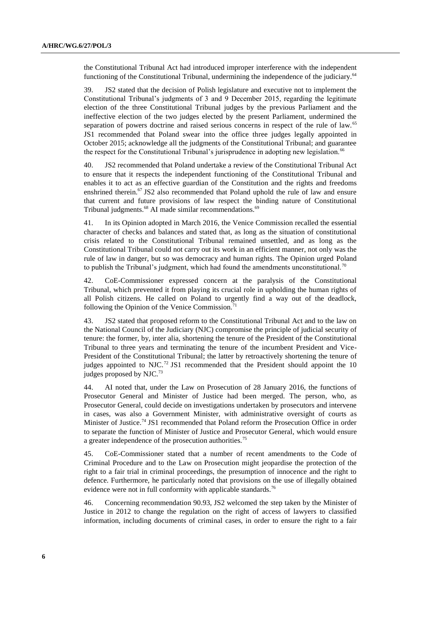the Constitutional Tribunal Act had introduced improper interference with the independent functioning of the Constitutional Tribunal, undermining the independence of the judiciary.<sup>64</sup>

39. JS2 stated that the decision of Polish legislature and executive not to implement the Constitutional Tribunal's judgments of 3 and 9 December 2015, regarding the legitimate election of the three Constitutional Tribunal judges by the previous Parliament and the ineffective election of the two judges elected by the present Parliament, undermined the separation of powers doctrine and raised serious concerns in respect of the rule of law.<sup>65</sup> JS1 recommended that Poland swear into the office three judges legally appointed in October 2015; acknowledge all the judgments of the Constitutional Tribunal; and guarantee the respect for the Constitutional Tribunal's jurisprudence in adopting new legislation.<sup>66</sup>

40. JS2 recommended that Poland undertake a review of the Constitutional Tribunal Act to ensure that it respects the independent functioning of the Constitutional Tribunal and enables it to act as an effective guardian of the Constitution and the rights and freedoms enshrined therein.<sup>67</sup> JS2 also recommended that Poland uphold the rule of law and ensure that current and future provisions of law respect the binding nature of Constitutional Tribunal judgments.<sup>68</sup> AI made similar recommendations.<sup>69</sup>

41. In its Opinion adopted in March 2016, the Venice Commission recalled the essential character of checks and balances and stated that, as long as the situation of constitutional crisis related to the Constitutional Tribunal remained unsettled, and as long as the Constitutional Tribunal could not carry out its work in an efficient manner, not only was the rule of law in danger, but so was democracy and human rights. The Opinion urged Poland to publish the Tribunal's judgment, which had found the amendments unconstitutional.<sup>70</sup>

42. CoE-Commissioner expressed concern at the paralysis of the Constitutional Tribunal, which prevented it from playing its crucial role in upholding the human rights of all Polish citizens. He called on Poland to urgently find a way out of the deadlock, following the Opinion of the Venice Commission.<sup>71</sup>

43. JS2 stated that proposed reform to the Constitutional Tribunal Act and to the law on the National Council of the Judiciary (NJC) compromise the principle of judicial security of tenure: the former, by, inter alia, shortening the tenure of the President of the Constitutional Tribunal to three years and terminating the tenure of the incumbent President and Vice-President of the Constitutional Tribunal; the latter by retroactively shortening the tenure of judges appointed to NJC.<sup>72</sup> JS1 recommended that the President should appoint the  $10$ judges proposed by NJC.<sup>73</sup>

44. AI noted that, under the Law on Prosecution of 28 January 2016, the functions of Prosecutor General and Minister of Justice had been merged. The person, who, as Prosecutor General, could decide on investigations undertaken by prosecutors and intervene in cases, was also a Government Minister, with administrative oversight of courts as Minister of Justice.<sup>74</sup> JS1 recommended that Poland reform the Prosecution Office in order to separate the function of Minister of Justice and Prosecutor General, which would ensure a greater independence of the prosecution authorities.<sup>75</sup>

45. CoE-Commissioner stated that a number of recent amendments to the Code of Criminal Procedure and to the Law on Prosecution might jeopardise the protection of the right to a fair trial in criminal proceedings, the presumption of innocence and the right to defence. Furthermore, he particularly noted that provisions on the use of illegally obtained evidence were not in full conformity with applicable standards.<sup>76</sup>

46. Concerning recommendation 90.93, JS2 welcomed the step taken by the Minister of Justice in 2012 to change the regulation on the right of access of lawyers to classified information, including documents of criminal cases, in order to ensure the right to a fair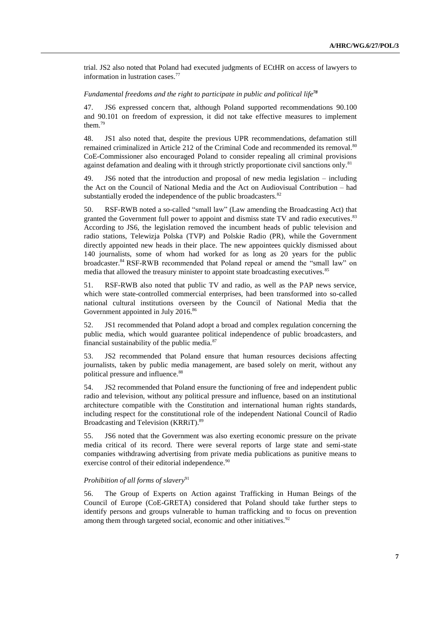trial. JS2 also noted that Poland had executed judgments of ECtHR on access of lawyers to information in lustration cases.<sup>77</sup>

#### *Fundamental freedoms and the right to participate in public and political life<sup>78</sup>*

47. JS6 expressed concern that, although Poland supported recommendations 90.100 and 90.101 on freedom of expression, it did not take effective measures to implement them. 79

48. JS1 also noted that, despite the previous UPR recommendations, defamation still remained criminalized in Article 212 of the Criminal Code and recommended its removal.<sup>80</sup> CoE-Commissioner also encouraged Poland to consider repealing all criminal provisions against defamation and dealing with it through strictly proportionate civil sanctions only.<sup>81</sup>

49. JS6 noted that the introduction and proposal of new media legislation – including the Act on the Council of National Media and the Act on Audiovisual Contribution – had substantially eroded the independence of the public broadcasters.<sup>82</sup>

50. RSF-RWB noted a so-called "small law" (Law amending the Broadcasting Act) that granted the Government full power to appoint and dismiss state TV and radio executives.<sup>83</sup> According to JS6, the legislation removed the incumbent heads of public television and radio stations, Telewizja Polska (TVP) and Polskie Radio (PR), while the Government directly appointed new heads in their place. The new appointees quickly dismissed about 140 journalists, some of whom had worked for as long as 20 years for the public broadcaster.<sup>84</sup> RSF-RWB recommended that Poland repeal or amend the "small law" on media that allowed the treasury minister to appoint state broadcasting executives.<sup>85</sup>

51. RSF-RWB also noted that public TV and radio, as well as the PAP news service, which were state-controlled commercial enterprises, had been transformed into so-called national cultural institutions overseen by the Council of National Media that the Government appointed in July 2016.<sup>86</sup>

52. JS1 recommended that Poland adopt a broad and complex regulation concerning the public media, which would guarantee political independence of public broadcasters, and financial sustainability of the public media. $87$ 

53. JS2 recommended that Poland ensure that human resources decisions affecting journalists, taken by public media management, are based solely on merit, without any political pressure and influence.<sup>88</sup>

54. JS2 recommended that Poland ensure the functioning of free and independent public radio and television, without any political pressure and influence, based on an institutional architecture compatible with the Constitution and international human rights standards, including respect for the constitutional role of the independent National Council of Radio Broadcasting and Television (KRRiT). 89

55. JS6 noted that the Government was also exerting economic pressure on the private media critical of its record. There were several reports of large state and semi-state companies withdrawing advertising from private media publications as punitive means to exercise control of their editorial independence.<sup>90</sup>

## *Prohibition of all forms of slavery*<sup>91</sup>

56. The Group of Experts on Action against Trafficking in Human Beings of the Council of Europe (CoE-GRETA) considered that Poland should take further steps to identify persons and groups vulnerable to human trafficking and to focus on prevention among them through targeted social, economic and other initiatives.<sup>92</sup>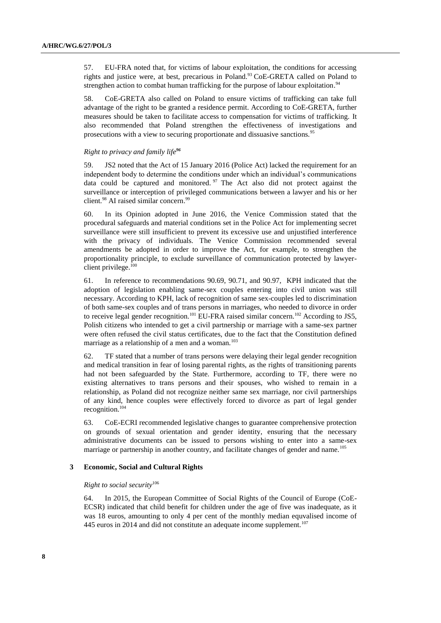57. EU-FRA noted that, for victims of labour exploitation, the conditions for accessing rights and justice were, at best, precarious in Poland.<sup>93</sup> CoE-GRETA called on Poland to strengthen action to combat human trafficking for the purpose of labour exploitation.<sup>94</sup>

58. CoE-GRETA also called on Poland to ensure victims of trafficking can take full advantage of the right to be granted a residence permit. According to CoE-GRETA, further measures should be taken to facilitate access to compensation for victims of trafficking. It also recommended that Poland strengthen the effectiveness of investigations and prosecutions with a view to securing proportionate and dissuasive sanctions.<sup>95</sup>

#### *Right to privacy and family life<sup>96</sup>*

59. JS2 noted that the Act of 15 January 2016 (Police Act) lacked the requirement for an independent body to determine the conditions under which an individual's communications data could be captured and monitored.  $97$  The Act also did not protect against the surveillance or interception of privileged communications between a lawyer and his or her client.<sup>98</sup> AI raised similar concern.<sup>99</sup>

60. In its Opinion adopted in June 2016, the Venice Commission stated that the procedural safeguards and material conditions set in the Police Act for implementing secret surveillance were still insufficient to prevent its excessive use and unjustified interference with the privacy of individuals. The Venice Commission recommended several amendments be adopted in order to improve the Act, for example, to strengthen the proportionality principle, to exclude surveillance of communication protected by lawyerclient privilege.<sup>100</sup>

61. In reference to recommendations 90.69, 90.71, and 90.97, KPH indicated that the adoption of legislation enabling same-sex couples entering into civil union was still necessary. According to KPH, lack of recognition of same sex-couples led to discrimination of both same-sex couples and of trans persons in marriages, who needed to divorce in order to receive legal gender recognition.<sup>101</sup> EU-FRA raised similar concern.<sup>102</sup> According to JS5, Polish citizens who intended to get a civil partnership or marriage with a same-sex partner were often refused the civil status certificates, due to the fact that the Constitution defined marriage as a relationship of a men and a woman. $103$ 

62. TF stated that a number of trans persons were delaying their legal gender recognition and medical transition in fear of losing parental rights, as the rights of transitioning parents had not been safeguarded by the State. Furthermore, according to TF, there were no existing alternatives to trans persons and their spouses, who wished to remain in a relationship, as Poland did not recognize neither same sex marriage, nor civil partnerships of any kind, hence couples were effectively forced to divorce as part of legal gender recognition.<sup>104</sup>

63. CoE-ECRI recommended legislative changes to guarantee comprehensive protection on grounds of sexual orientation and gender identity, ensuring that the necessary administrative documents can be issued to persons wishing to enter into a same-sex marriage or partnership in another country, and facilitate changes of gender and name.<sup>105</sup>

#### **3 Economic, Social and Cultural Rights**

## *Right to social security*<sup>106</sup>

64. In 2015, the European Committee of Social Rights of the Council of Europe (CoE-ECSR) indicated that child benefit for children under the age of five was inadequate, as it was 18 euros, amounting to only 4 per cent of the monthly median equvalised income of 445 euros in 2014 and did not constitute an adequate income supplement.<sup>107</sup>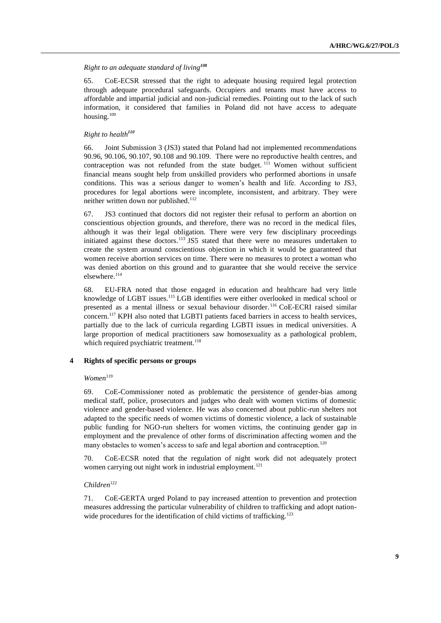# *Right to an adequate standard of living<sup>108</sup>*

65. CoE-ECSR stressed that the right to adequate housing required legal protection through adequate procedural safeguards. Occupiers and tenants must have access to affordable and impartial judicial and non-judicial remedies. Pointing out to the lack of such information, it considered that families in Poland did not have access to adequate housing. $109$ 

## *Right to health<sup>110</sup>*

66. Joint Submission 3 (JS3) stated that Poland had not implemented recommendations 90.96, 90.106, 90.107, 90.108 and 90.109. There were no reproductive health centres, and contraception was not refunded from the state budget.  $111$  Women without sufficient financial means sought help from unskilled providers who performed abortions in unsafe conditions. This was a serious danger to women's health and life. According to JS3, procedures for legal abortions were incomplete, inconsistent, and arbitrary. They were neither written down nor published.<sup>112</sup>

67. JS3 continued that doctors did not register their refusal to perform an abortion on conscientious objection grounds, and therefore, there was no record in the medical files, although it was their legal obligation. There were very few disciplinary proceedings initiated against these doctors.<sup>113</sup> JS5 stated that there were no measures undertaken to create the system around conscientious objection in which it would be guaranteed that women receive abortion services on time. There were no measures to protect a woman who was denied abortion on this ground and to guarantee that she would receive the service elsewhere. 114

68. EU-FRA noted that those engaged in education and healthcare had very little knowledge of LGBT issues.<sup>115</sup> LGB identifies were either overlooked in medical school or presented as a mental illness or sexual behaviour disorder. <sup>116</sup> CoE-ECRI raised similar concern.<sup>117</sup> KPH also noted that LGBTI patients faced barriers in access to health services, partially due to the lack of curricula regarding LGBTI issues in medical universities. A large proportion of medical practitioners saw homosexuality as a pathological problem, which required psychiatric treatment.<sup>118</sup>

### **4 Rights of specific persons or groups**

## $Women$ <sup>119</sup>

69. CoE-Commissioner noted as problematic the persistence of gender-bias among medical staff, police, prosecutors and judges who dealt with women victims of domestic violence and gender-based violence. He was also concerned about public-run shelters not adapted to the specific needs of women victims of domestic violence, a lack of sustainable public funding for NGO-run shelters for women victims, the continuing gender gap in employment and the prevalence of other forms of discrimination affecting women and the many obstacles to women's access to safe and legal abortion and contraception.<sup>120</sup>

70. CoE-ECSR noted that the regulation of night work did not adequately protect women carrying out night work in industrial employment.<sup>121</sup>

#### *Children*<sup>122</sup>

71. CoE-GERTA urged Poland to pay increased attention to prevention and protection measures addressing the particular vulnerability of children to trafficking and adopt nationwide procedures for the identification of child victims of trafficking.<sup>123</sup>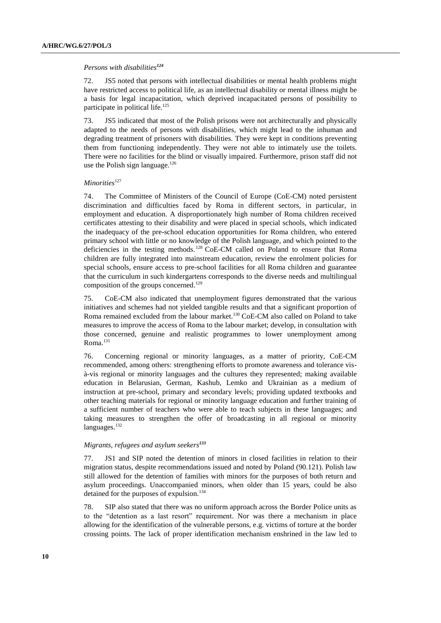#### *Persons with disabilities<sup>124</sup>*

72. JS5 noted that persons with intellectual disabilities or mental health problems might have restricted access to political life, as an intellectual disability or mental illness might be a basis for legal incapacitation, which deprived incapacitated persons of possibility to participate in political life.<sup>125</sup>

73. JS5 indicated that most of the Polish prisons were not architecturally and physically adapted to the needs of persons with disabilities, which might lead to the inhuman and degrading treatment of prisoners with disabilities. They were kept in conditions preventing them from functioning independently. They were not able to intimately use the toilets. There were no facilities for the blind or visually impaired. Furthermore, prison staff did not use the Polish sign language.<sup>126</sup>

## *Minorities*<sup>127</sup>

74. The Committee of Ministers of the Council of Europe (CoE-CM) noted persistent discrimination and difficulties faced by Roma in different sectors, in particular, in employment and education. A disproportionately high number of Roma children received certificates attesting to their disability and were placed in special schools, which indicated the inadequacy of the pre-school education opportunities for Roma children, who entered primary school with little or no knowledge of the Polish language, and which pointed to the deficiencies in the testing methods. <sup>128</sup> CoE-CM called on Poland to ensure that Roma children are fully integrated into mainstream education, review the enrolment policies for special schools, ensure access to pre-school facilities for all Roma children and guarantee that the curriculum in such kindergartens corresponds to the diverse needs and multilingual composition of the groups concerned. 129

75. CoE-CM also indicated that unemployment figures demonstrated that the various initiatives and schemes had not yielded tangible results and that a significant proportion of Roma remained excluded from the labour market.<sup>130</sup> CoE-CM also called on Poland to take measures to improve the access of Roma to the labour market; develop, in consultation with those concerned, genuine and realistic programmes to lower unemployment among Roma.<sup>131</sup>

76. Concerning regional or minority languages, as a matter of priority, CoE-CM recommended, among others: strengthening efforts to promote awareness and tolerance visà-vis regional or minority languages and the cultures they represented; making available education in Belarusian, German, Kashub, Lemko and Ukrainian as a medium of instruction at pre-school, primary and secondary levels; providing updated textbooks and other teaching materials for regional or minority language education and further training of a sufficient number of teachers who were able to teach subjects in these languages; and taking measures to strengthen the offer of broadcasting in all regional or minority languages.<sup>132</sup>

## *Migrants, refugees and asylum seekers<sup>133</sup>*

77. JS1 and SIP noted the detention of minors in closed facilities in relation to their migration status, despite recommendations issued and noted by Poland (90.121). Polish law still allowed for the detention of families with minors for the purposes of both return and asylum proceedings. Unaccompanied minors, when older than 15 years, could be also detained for the purposes of expulsion.<sup>134</sup>

78. SIP also stated that there was no uniform approach across the Border Police units as to the "detention as a last resort" requirement. Nor was there a mechanism in place allowing for the identification of the vulnerable persons, e.g. victims of torture at the border crossing points. The lack of proper identification mechanism enshrined in the law led to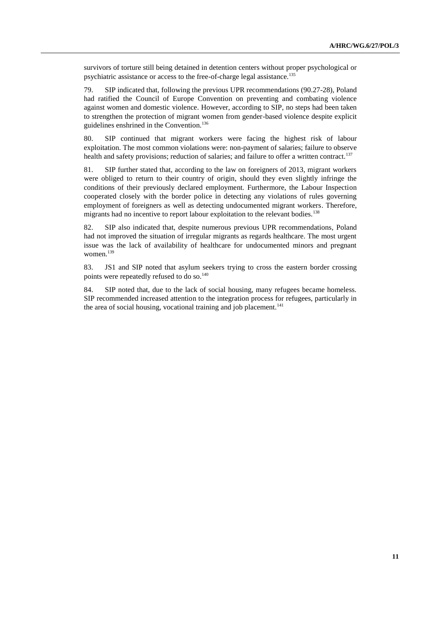survivors of torture still being detained in detention centers without proper psychological or psychiatric assistance or access to the free-of-charge legal assistance.<sup>135</sup>

79. SIP indicated that, following the previous UPR recommendations (90.27-28), Poland had ratified the Council of Europe Convention on preventing and combating violence against women and domestic violence. However, according to SIP, no steps had been taken to strengthen the protection of migrant women from gender-based violence despite explicit guidelines enshrined in the Convention.<sup>136</sup>

80. SIP continued that migrant workers were facing the highest risk of labour exploitation. The most common violations were: non-payment of salaries; failure to observe health and safety provisions; reduction of salaries; and failure to offer a written contract.<sup>137</sup>

81. SIP further stated that, according to the law on foreigners of 2013, migrant workers were obliged to return to their country of origin, should they even slightly infringe the conditions of their previously declared employment. Furthermore, the Labour Inspection cooperated closely with the border police in detecting any violations of rules governing employment of foreigners as well as detecting undocumented migrant workers. Therefore, migrants had no incentive to report labour exploitation to the relevant bodies.<sup>138</sup>

82. SIP also indicated that, despite numerous previous UPR recommendations, Poland had not improved the situation of irregular migrants as regards healthcare. The most urgent issue was the lack of availability of healthcare for undocumented minors and pregnant women. $139$ 

83. JS1 and SIP noted that asylum seekers trying to cross the eastern border crossing points were repeatedly refused to do so.<sup>140</sup>

84. SIP noted that, due to the lack of social housing, many refugees became homeless. SIP recommended increased attention to the integration process for refugees, particularly in the area of social housing, vocational training and job placement.<sup>141</sup>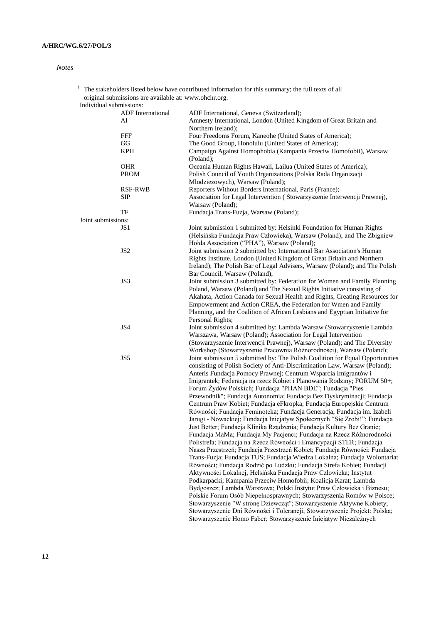*Notes*

|                         | original submissions are available at: www.ohchr.org. |                                                                                                                                                       |
|-------------------------|-------------------------------------------------------|-------------------------------------------------------------------------------------------------------------------------------------------------------|
| Individual submissions: |                                                       |                                                                                                                                                       |
|                         | ADF International                                     | ADF International, Geneva (Switzerland);                                                                                                              |
|                         | AI                                                    | Amnesty International, London (United Kingdom of Great Britain and<br>Northern Ireland);                                                              |
|                         | FFF                                                   | Four Freedoms Forum, Kaneohe (United States of America);                                                                                              |
|                         | GG                                                    | The Good Group, Honolulu (United States of America);                                                                                                  |
|                         |                                                       |                                                                                                                                                       |
|                         | KPH                                                   | Campaign Against Homophobia (Kampania Przeciw Homofobii), Warsaw<br>(Poland);                                                                         |
|                         | <b>OHR</b>                                            | Oceania Human Rights Hawaii, Lailua (United States of America);                                                                                       |
|                         | <b>PROM</b>                                           | Polish Council of Youth Organizations (Polska Rada Organizacji<br>Mlodziezowych), Warsaw (Poland);                                                    |
|                         | <b>RSF-RWB</b>                                        | Reporters Without Borders International, Paris (France);                                                                                              |
|                         | <b>SIP</b>                                            | Association for Legal Intervention (Stowarzyszenie Interwencji Prawnej),                                                                              |
|                         |                                                       | Warsaw (Poland);                                                                                                                                      |
|                         | TF                                                    | Fundacja Trans-Fuzja, Warsaw (Poland);                                                                                                                |
| Joint submissions:      |                                                       |                                                                                                                                                       |
|                         | JS1                                                   | Joint submission 1 submitted by: Helsinki Foundation for Human Rights                                                                                 |
|                         |                                                       | (Helsińska Fundacja Praw Człowieka), Warsaw (Poland); and The Zbigniew                                                                                |
|                         |                                                       | Holda Association ("PHA"), Warsaw (Poland);                                                                                                           |
|                         | JS <sub>2</sub>                                       | Joint submission 2 submitted by: International Bar Association's Human                                                                                |
|                         |                                                       | Rights Institute, London (United Kingdom of Great Britain and Northern<br>Ireland); The Polish Bar of Legal Advisers, Warsaw (Poland); and The Polish |
|                         |                                                       | Bar Council, Warsaw (Poland);                                                                                                                         |
|                         | JS3                                                   | Joint submission 3 submitted by: Federation for Women and Family Planning                                                                             |
|                         |                                                       | Poland, Warsaw (Poland) and The Sexual Rights Initiative consisting of                                                                                |
|                         |                                                       | Akahata, Action Canada for Sexual Health and Rights, Creating Resources for                                                                           |
|                         |                                                       | Empowerment and Action CREA, the Federation for Wmen and Family                                                                                       |
|                         |                                                       | Planning, and the Coalition of African Lesbians and Egyptian Initiative for                                                                           |
|                         |                                                       | Personal Rights;                                                                                                                                      |
|                         | JS4                                                   | Joint submission 4 submitted by: Lambda Warsaw (Stowarzyszenie Lambda                                                                                 |
|                         |                                                       | Warszawa, Warsaw (Poland); Association for Legal Intervention                                                                                         |
|                         |                                                       | (Stowarzyszenie Interwencji Prawnej), Warsaw (Poland); and The Diversity                                                                              |
|                         |                                                       | Workshop (Stowarzyszenie Pracownia Różnorodności), Warsaw (Poland);                                                                                   |
|                         | JS5                                                   | Joint submission 5 submitted by: The Polish Coalition for Equal Opportunities                                                                         |
|                         |                                                       | consisting of Polish Society of Anti-Discrimination Law, Warsaw (Poland);                                                                             |
|                         |                                                       | Anteris Fundacja Pomocy Prawnej; Centrum Wsparcia Imigrantów i<br>Imigrantek; Federacja na rzecz Kobiet i Planowania Rodziny; FORUM 50+;              |
|                         |                                                       | Forum Żydów Polskich; Fundacja "PHAN BDE"; Fundacja "Pies                                                                                             |
|                         |                                                       | Przewodnik"; Fundacja Autonomia; Fundacja Bez Dyskryminacji; Fundacja                                                                                 |
|                         |                                                       | Centrum Praw Kobiet; Fundacja eFkropka; Fundacja Europejskie Centrum                                                                                  |
|                         |                                                       | Równości; Fundacja Feminoteka; Fundacja Generacja; Fundacja im. Izabeli                                                                               |
|                         |                                                       | Jarugi - Nowackiej; Fundacja Inicjatyw Społecznych "Się Zrobi!"; Fundacja                                                                             |
|                         |                                                       | Just Better; Fundacja Klinika Rządzenia; Fundacja Kultury Bez Granic;                                                                                 |
|                         |                                                       | Fundacja MaMa; Fundacja My Pacjenci; Fundacja na Rzecz Różnorodności                                                                                  |
|                         |                                                       | Polistrefa; Fundacja na Rzecz Równości i Emancypacji STER; Fundacja                                                                                   |
|                         |                                                       | Nasza Przestrzeń; Fundacja Przestrzeń Kobiet; Fundacja Równości; Fundacja                                                                             |
|                         |                                                       | Trans-Fuzja; Fundacja TUS; Fundacja Wiedza Lokalna; Fundacja Wolontariat                                                                              |
|                         |                                                       | Równości; Fundacja Rodzić po Ludzku; Fundacja Strefa Kobiet; Fundacji                                                                                 |
|                         |                                                       | Aktywności Lokalnej; Helsińska Fundacja Praw Człowieka; Instytut                                                                                      |
|                         |                                                       | Podkarpacki; Kampania Przeciw Homofobii; Koalicja Karat; Lambda                                                                                       |
|                         |                                                       | Bydgoszcz; Lambda Warszawa; Polski Instytut Praw Człowieka i Biznesu;                                                                                 |
|                         |                                                       | Polskie Forum Osób Niepełnosprawnych; Stowarzyszenia Romów w Polsce;                                                                                  |
|                         |                                                       |                                                                                                                                                       |
|                         |                                                       | Stowarzyszenie "W stronę Dziewcząt"; Stowarzyszenie Aktywne Kobiety;                                                                                  |
|                         |                                                       | Stowarzyszenie Dni Równości i Tolerancji; Stowarzyszenie Projekt: Polska;                                                                             |
|                         |                                                       | Stowarzyszenie Homo Faber; Stowarzyszenie Inicjatyw Niezależnych                                                                                      |

 $1$  The stakeholders listed below have contributed information for this summary; the full texts of all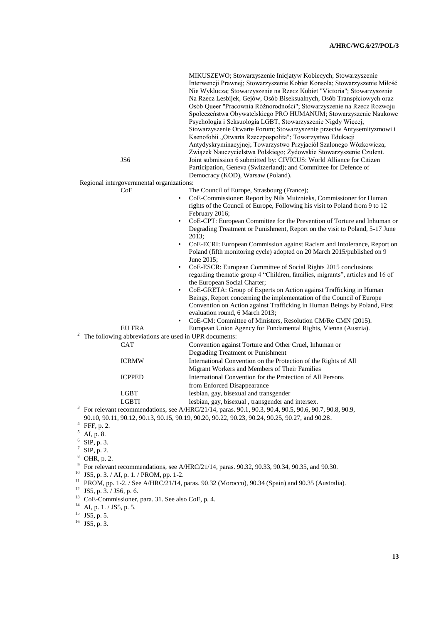| JS6                                                                      | Osób Queer "Pracownia Różnorodności"; Stowarzyszenie na Rzecz Rozwoju<br>Społeczeństwa Obywatelskiego PRO HUMANUM; Stowarzyszenie Naukowe<br>Psychologia i Seksuologia LGBT; Stowarzyszenie Nigdy Więcej;<br>Stowarzyszenie Otwarte Forum; Stowarzyszenie przeciw Antysemityzmowi i<br>Ksenofobii "Otwarta Rzeczpospolita"; Towarzystwo Edukacji<br>Antydyskryminacyjnej; Towarzystwo Przyjaciół Szalonego Wózkowicza;<br>Związek Nauczycielstwa Polskiego; Żydowskie Stowarzyszenie Czulent.<br>Joint submission 6 submitted by: CIVICUS: World Alliance for Citizen<br>Participation, Geneva (Switzerland); and Committee for Defence of |
|--------------------------------------------------------------------------|--------------------------------------------------------------------------------------------------------------------------------------------------------------------------------------------------------------------------------------------------------------------------------------------------------------------------------------------------------------------------------------------------------------------------------------------------------------------------------------------------------------------------------------------------------------------------------------------------------------------------------------------|
| Regional intergovernmental organizations:                                | Democracy (KOD), Warsaw (Poland).                                                                                                                                                                                                                                                                                                                                                                                                                                                                                                                                                                                                          |
| CoE                                                                      | The Council of Europe, Strasbourg (France);                                                                                                                                                                                                                                                                                                                                                                                                                                                                                                                                                                                                |
|                                                                          | CoE-Commissioner: Report by Nils Muiznieks, Commissioner for Human<br>$\bullet$<br>rights of the Council of Europe, Following his visit to Poland from 9 to 12<br>February 2016;                                                                                                                                                                                                                                                                                                                                                                                                                                                           |
|                                                                          | CoE-CPT: European Committee for the Prevention of Torture and Inhuman or<br>$\bullet$<br>Degrading Treatment or Punishment, Report on the visit to Poland, 5-17 June<br>2013;                                                                                                                                                                                                                                                                                                                                                                                                                                                              |
|                                                                          | CoE-ECRI: European Commission against Racism and Intolerance, Report on<br>$\bullet$<br>Poland (fifth monitoring cycle) adopted on 20 March 2015/published on 9<br>June 2015;                                                                                                                                                                                                                                                                                                                                                                                                                                                              |
|                                                                          | CoE-ESCR: European Committee of Social Rights 2015 conclusions<br>$\bullet$<br>regarding thematic group 4 "Children, families, migrants", articles and 16 of<br>the European Social Charter;                                                                                                                                                                                                                                                                                                                                                                                                                                               |
|                                                                          | CoE-GRETA: Group of Experts on Action against Trafficking in Human<br>$\bullet$<br>Beings, Report concerning the implementation of the Council of Europe<br>Convention on Action against Trafficking in Human Beings by Poland, First<br>evaluation round, 6 March 2013;                                                                                                                                                                                                                                                                                                                                                                   |
|                                                                          | CoE-CM: Committee of Ministers, Resolution CM/Re CMN (2015).<br>$\bullet$                                                                                                                                                                                                                                                                                                                                                                                                                                                                                                                                                                  |
| EU FRA                                                                   | European Union Agency for Fundamental Rights, Vienna (Austria).                                                                                                                                                                                                                                                                                                                                                                                                                                                                                                                                                                            |
| $\overline{a}$<br>The following abbreviations are used in UPR documents: |                                                                                                                                                                                                                                                                                                                                                                                                                                                                                                                                                                                                                                            |
| CAT                                                                      | Convention against Torture and Other Cruel, Inhuman or<br>Degrading Treatment or Punishment                                                                                                                                                                                                                                                                                                                                                                                                                                                                                                                                                |
| <b>ICRMW</b>                                                             | International Convention on the Protection of the Rights of All<br>Migrant Workers and Members of Their Families                                                                                                                                                                                                                                                                                                                                                                                                                                                                                                                           |
| <b>ICPPED</b>                                                            | International Convention for the Protection of All Persons<br>from Enforced Disappearance                                                                                                                                                                                                                                                                                                                                                                                                                                                                                                                                                  |
| <b>LGBT</b>                                                              | lesbian, gay, bisexual and transgender                                                                                                                                                                                                                                                                                                                                                                                                                                                                                                                                                                                                     |
| <b>LGBTI</b>                                                             | lesbian, gay, bisexual, transgender and intersex.                                                                                                                                                                                                                                                                                                                                                                                                                                                                                                                                                                                          |
|                                                                          | <sup>3</sup> For relevant recommendations, see A/HRC/21/14, paras. 90.1, 90.3, 90.4, 90.5, 90.6, 90.7, 90.8, 90.9,                                                                                                                                                                                                                                                                                                                                                                                                                                                                                                                         |
|                                                                          | 90.10, 90.11, 90.12, 90.13, 90.15, 90.19, 90.20, 90.22, 90.23, 90.24, 90.25, 90.27, and 90.28.                                                                                                                                                                                                                                                                                                                                                                                                                                                                                                                                             |
| $\overline{4}$<br>FFF, p. 2.                                             |                                                                                                                                                                                                                                                                                                                                                                                                                                                                                                                                                                                                                                            |

MIKUSZEWO; Stowarzyszenie Inicjatyw Kobiecych; Stowarzyszenie Interwencji Prawnej; Stowarzyszenie Kobiet Konsola; Stowarzyszenie Miłość Nie Wyklucza; Stowarzyszenie na Rzecz Kobiet "Victoria"; Stowarzyszenie Na Rzecz Lesbijek, Gejów, Osób Biseksualnych, Osób Transpłciowych oraz

 $5$  AI, p. 8.

3

- 
- $6$  SIP, p. 3.
- $7$  SIP, p. 2.
- $\frac{8}{9}$  OHR, p. 2.

| $\%$ For relevant recommendations, see A/HRC/21/14, paras. 90.32, 90.33, 90.34, 90.35, and 90.30. |  |
|---------------------------------------------------------------------------------------------------|--|
|---------------------------------------------------------------------------------------------------|--|

- <sup>10</sup> JS5, p. 3. / AI, p. 1. / PROM, pp. 1-2.
- <sup>11</sup> PROM, pp. 1-2. / See A/HRC/21/14, paras. 90.32 (Morocco), 90.34 (Spain) and 90.35 (Australia).
- $12$  JS5, p. 3. / JS6, p. 6.
- $13$  CoE-Commissioner, para. 31. See also CoE, p. 4.
- $14$  AI, p. 1. / JS5, p. 5.

 $^{15}$  JS5, p. 5.

 $16$  JS5, p. 3.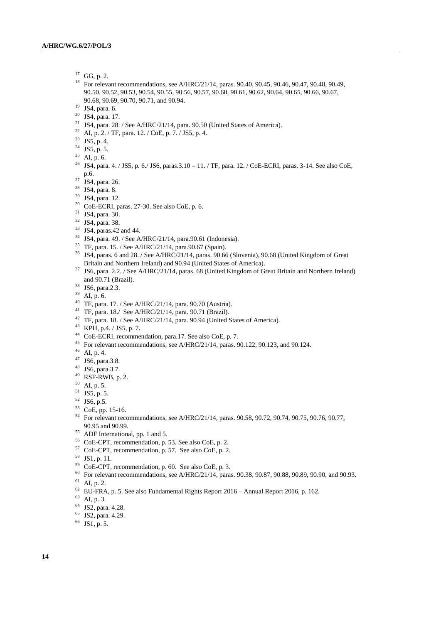- $^{17}$  GG, p. 2.<br> $^{18}$  For relays
- For relevant recommendations, see A/HRC/21/14, paras. 90.40, 90.45, 90.46, 90.47, 90.48, 90.49, 90.50, 90.52, 90.53, 90.54, 90.55, 90.56, 90.57, 90.60, 90.61, 90.62, 90.64, 90.65, 90.66, 90.67, 90.68, 90.69, 90.70, 90.71, and 90.94.
- JS4, para. 6.
- JS4, para. 17.
- <sup>21</sup> JS4, para. 28. / See A/HRC/21/14, para. 90.50 (United States of America).
- AI, p. 2. / TF, para. 12. / CoE, p. 7. / JS5, p. 4.
- <sup>23</sup> JS5, p. 4.
- <sup>24</sup> JS5, p. 5.
- <sup>25</sup> AI, p. 6.
- JS4, para. 4. / JS5, p. 6./ JS6, paras.3.10 11. / TF, para. 12. / CoE-ECRI, paras. 3-14. See also CoE, p.6.
- <sup>27</sup> JS4, para. 26.
- JS4, para. 8.
- JS4, para. 12.
- CoE-ECRI, paras. 27-30. See also CoE, p. 6.
- JS4, para. 30.
- JS4, para. 38.
- JS4, paras.42 and 44.
- JS4, para. 49. / See A/HRC/21/14, para.90.61 (Indonesia).
- TF, para. 15. / See A/HRC/21/14, para.90.67 (Spain).
- <sup>36</sup> JS4, paras. 6 and 28. / See A/HRC/21/14, paras. 90.66 (Slovenia), 90.68 (United Kingdom of Great Britain and Northern Ireland) and 90.94 (United States of America).
- JS6, para. 2.2. / See A/HRC/21/14, paras. 68 (United Kingdom of Great Britain and Northern Ireland) and 90.71 (Brazil).
- JS6, para.2.3.
- AI, p. 6.
- TF, para. 17. / See A/HRC/21/14, para. 90.70 (Austria).
- TF, para. 18./ See A/HRC/21/14, para. 90.71 (Brazil).
- TF, para. 18. / See A/HRC/21/14, para. 90.94 (United States of America).
- KPH, p.4. / JS5, p. 7.
- CoE-ECRI, recommendation, para.17. See also CoE, p. 7.
- <sup>45</sup> For relevant recommendations, see A/HRC/21/14, paras. 90.122, 90.123, and 90.124.
- AI, p. 4.
- JS6, para.3.8.
- JS6, para.3.7.
- RSF-RWB, p. 2.
- AI, p. 5.
- JS5, p. 5.
- JS6, p.5.
- CoE, pp. 15-16.
- <sup>54</sup> For relevant recommendations, see A/HRC/21/14, paras. 90.58, 90.72, 90.74, 90.75, 90.76, 90.77, 90.95 and 90.99.
- ADF International, pp. 1 and 5.
- CoE-CPT, recommendation, p. 53. See also CoE, p. 2.
- CoE-CPT, recommendation, p. 57. See also CoE, p. 2.
- JS1, p. 11.
- CoE-CPT, recommendation, p. 60. See also CoE, p. 3.
- <sup>60</sup> For relevant recommendations, see A/HRC/21/14, paras. 90.38, 90.87, 90.88, 90.89, 90.90, and 90.93.
- AI, p. 2.
- EU-FRA, p. 5. See also Fundamental Rights Report 2016 Annual Report 2016, p. 162.
- AI, p. 3.
- JS2, para. 4.28.
- JS2, para. 4.29.
- JS1, p. 5.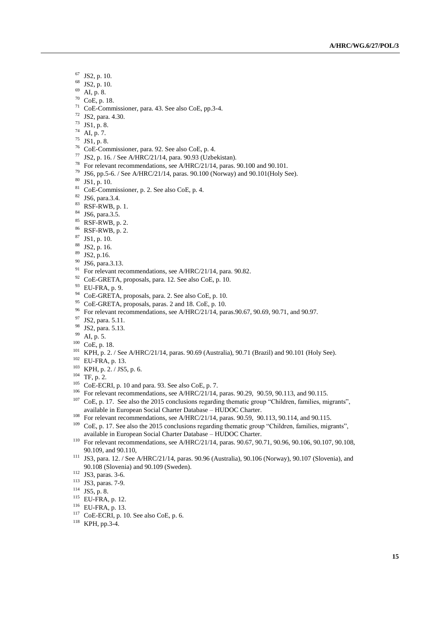- $^{67}$  JS2, p. 10.<br> $^{68}$  JS2, p. 10.
- JS2, p. 10.
- AI, p. 8.
- CoE, p. 18.
- CoE-Commissioner, para. 43. See also CoE, pp.3-4.
- JS2, para. 4.30.
- JS1, p. 8.
- AI, p. 7.
- JS1, p. 8.
- CoE-Commissioner, para. 92. See also CoE, p. 4.
- JS2, p. 16. / See A/HRC/21/14, para. 90.93 (Uzbekistan).
- For relevant recommendations, see A/HRC/21/14, paras. 90.100 and 90.101.
- <sup>79</sup> JS6, pp.5-6. / See A/HRC/21/14, paras. 90.100 (Norway) and 90.101 (Holy See).
- JS1, p. 10.
- CoE-Commissioner, p. 2. See also CoE, p. 4.
- JS6, para.3.4.
- RSF-RWB, p. 1.
- JS6, para.3.5.
- RSF-RWB, p. 2.
- RSF-RWB, p. 2.
- JS1, p. 10.
- JS2, p. 16.
- JS2, p.16.
- JS6, para.3.13.
- For relevant recommendations, see A/HRC/21/14, para. 90.82.
- CoE-GRETA, proposals, para. 12. See also CoE, p. 10.
- EU-FRA, p. 9.
- CoE-GRETA, proposals, para. 2. See also CoE, p. 10.
- <sup>95</sup> CoE-GRETA, proposals, paras. 2 and 18. CoE, p. 10.
- <sup>96</sup> For relevant recommendations, see A/HRC/21/14, paras.90.67, 90.69, 90.71, and 90.97.
- <sup>97</sup> JS2, para. 5.11.
- JS2, para. 5.13.
- AI, p. 5.
- CoE, p. 18.
- KPH, p. 2. / See A/HRC/21/14, paras. 90.69 (Australia), 90.71 (Brazil) and 90.101 (Holy See).
- EU-FRA, p. 13.
- KPH, p. 2. / JS5, p. 6.
- TF, p. 2.
- CoE-ECRI, p. 10 and para. 93. See also CoE, p. 7.
- For relevant recommendations, see A/HRC/21/14, paras. 90.29, 90.59, 90.113, and 90.115. <sup>107</sup> CoE, p. 17. See also the 2015 conclusions regarding thematic group "Children, families, migrants", available in European Social Charter Database – HUDOC Charter.
- <sup>108</sup> For relevant recommendations, see A/HRC/21/14, paras. 90.59, 90.113, 90.114, and 90.115.
- CoE, p. 17. See also the 2015 conclusions regarding thematic group "Children, families, migrants", available in European Social Charter Database – HUDOC Charter.
- For relevant recommendations, see A/HRC/21/14, paras. 90.67, 90.71, 90.96, 90.106, 90.107, 90.108, 90.109, and 90.110,
- JS3, para. 12. / See A/HRC/21/14, paras. 90.96 (Australia), 90.106 (Norway), 90.107 (Slovenia), and 90.108 (Slovenia) and 90.109 (Sweden).
- JS3, paras. 3-6.
- JS3, paras. 7-9.
- JS5, p. 8.
- EU-FRA, p. 12.
- EU-FRA, p. 13.
- 
- CoE-ECRI, p. 10. See also CoE, p. 6.

KPH, pp.3-4.